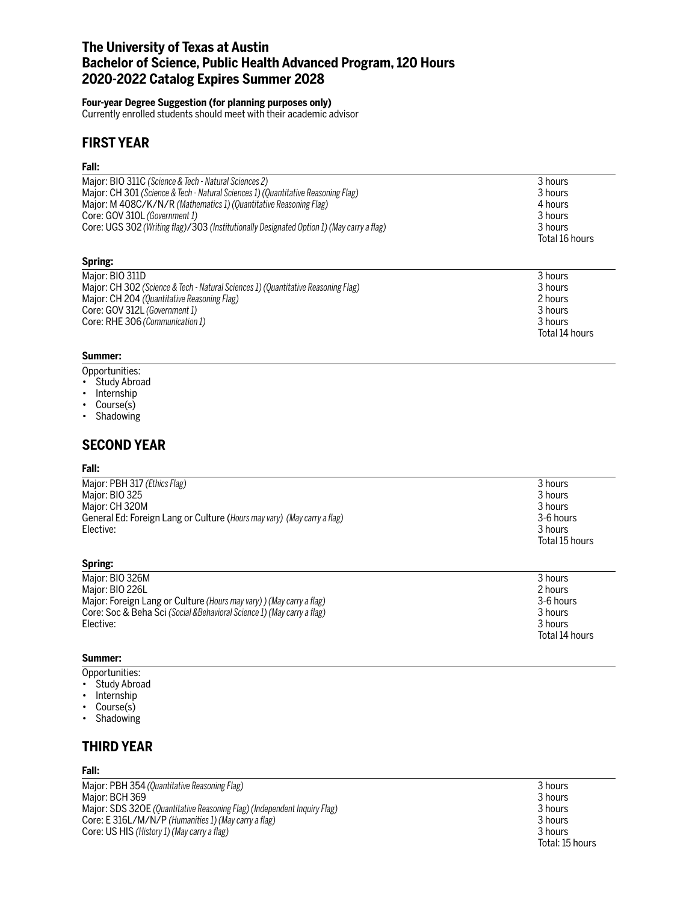# **The University of Texas at Austin Bachelor of Science, Public Health Advanced Program, 120 Hours 2020-2022 Catalog Expires Summer 2028**

#### **Four-year Degree Suggestion (for planning purposes only)**

Currently enrolled students should meet with their academic advisor

# **FIRST YEAR**

### **Fall:**

| Major: BIO 311C (Science & Tech - Natural Sciences 2)<br>Major: CH 301 (Science & Tech - Natural Sciences 1) (Quantitative Reasoning Flag)<br>Major: M 408C/K/N/R (Mathematics 1) (Quantitative Reasoning Flag)<br>Core: GOV 310L (Government 1)<br>Core: UGS 302 (Writing flag)/303 (Institutionally Designated Option 1) (May carry a flag) | 3 hours<br>3 hours<br>4 hours<br>3 hours<br>3 hours<br>Total 16 hours |
|-----------------------------------------------------------------------------------------------------------------------------------------------------------------------------------------------------------------------------------------------------------------------------------------------------------------------------------------------|-----------------------------------------------------------------------|
| Spring:                                                                                                                                                                                                                                                                                                                                       |                                                                       |
| Major: BIO 311D<br>Major: CH 302 (Science & Tech - Natural Sciences 1) (Quantitative Reasoning Flag)<br>Major: CH 204 (Quantitative Reasoning Flag)<br>Core: GOV 312L (Government 1)<br>Core: RHE 306 (Communication 1)                                                                                                                       | 3 hours<br>3 hours<br>2 hours<br>3 hours<br>3 hours<br>Total 14 hours |

#### **Summer:**

- Opportunities:
- Study Abroad
- Internship
- Course(s)
- Shadowing

## **SECOND YEAR**

#### **Fall:**

| Major: PBH 317 (Ethics Flag)<br>Major: BIO 325<br>Major: CH 320M<br>General Ed: Foreign Lang or Culture (Hours may vary) (May carry a flag)<br>Elective: | 3 hours<br>3 hours<br>3 hours<br>3-6 hours<br>3 hours<br>Total 15 hours |
|----------------------------------------------------------------------------------------------------------------------------------------------------------|-------------------------------------------------------------------------|
| Spring:                                                                                                                                                  |                                                                         |

| Maior: BIO 326M                                                         | 3 hours        |
|-------------------------------------------------------------------------|----------------|
| Maior: BIO 226L                                                         | 2 hours        |
| Major: Foreign Lang or Culture (Hours may vary)) (May carry a flag)     | 3-6 hours      |
| Core: Soc & Beha Sci (Social & Behavioral Science 1) (May carry a flag) | 3 hours        |
| Elective:                                                               | 3 hours        |
|                                                                         | Total 14 hours |

### **Summer:**

- Opportunities:
- Study Abroad
- Internship
- Course(s)
- Shadowing

# **THIRD YEAR**

### **Fall:**

Major: PBH 354 *(Quantitative Reasoning Flag)* 3 hours Major: BCH 369<br>Major: SDS 32OE (Quantitative Reasoning Flag) (Independent Inquiry Flag) Major: SDS 32OE (Quantitative Reasoning Flag) (Independent Inquiry Flag) Major: SDS 32OE *(Quantitative Reasoning Flag) (Independent Inquiry Flag)*<br>Core: E 316L/M/N/P (Humanities 1) (May carry a flag)<br>3 hours Core: E 316L/M/N/P (Humanities 1) (May carry a flag)<br>
Core: US HIS (History 1) (May carry a flag) 3 hours<br>
3 hours Core: US HIS (History 1) (May carry a flag)

Total: 15 hours